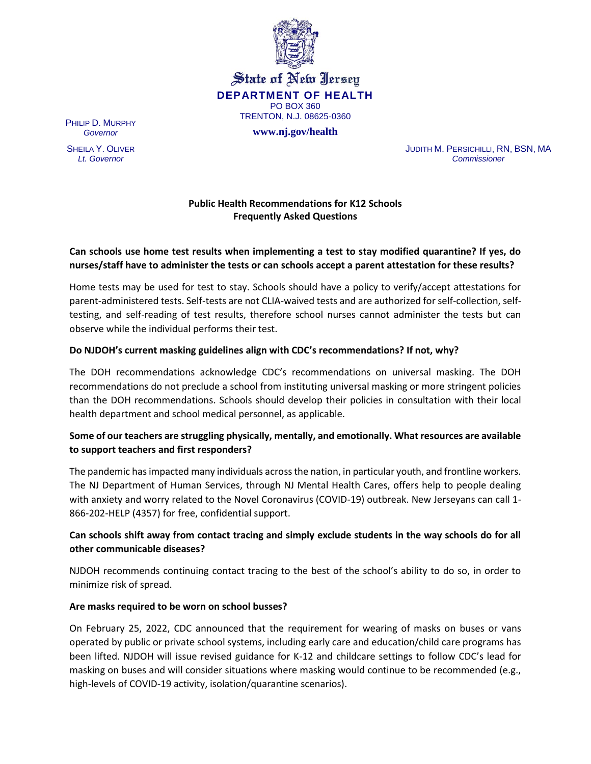

State of New Jersey **DEPARTMENT OF HEALTH** PO BOX 360 TRENTON, N.J. 08625-0360

**www.nj.gov/health**

PHILIP D. MURPHY *Governor*

SHEILA Y. OLIVER *Lt. Governor*

JUDITH M. PERSICHILLI, RN, BSN, MA *Commissioner*

### **Public Health Recommendations for K12 Schools Frequently Asked Questions**

### **Can schools use home test results when implementing a test to stay modified quarantine? If yes, do nurses/staff have to administer the tests or can schools accept a parent attestation for these results?**

Home tests may be used for test to stay. Schools should have a policy to verify/accept attestations for parent-administered tests. Self-tests are not CLIA-waived tests and are authorized for self-collection, selftesting, and self-reading of test results, therefore school nurses cannot administer the tests but can observe while the individual performs their test.

#### **Do NJDOH's current masking guidelines align with CDC's recommendations? If not, why?**

The DOH recommendations acknowledge CDC's recommendations on universal masking. The DOH recommendations do not preclude a school from instituting universal masking or more stringent policies than the DOH recommendations. Schools should develop their policies in consultation with their local health department and school medical personnel, as applicable.

### **Some of our teachers are struggling physically, mentally, and emotionally. What resources are available to support teachers and first responders?**

The pandemic has impacted many individuals across the nation, in particular youth, and frontline workers. The NJ Department of Human Services, through NJ Mental Health Cares, offers help to people dealing with anxiety and worry related to the Novel Coronavirus (COVID-19) outbreak. New Jerseyans can call 1- 866-202-HELP (4357) for free, confidential support.

## **Can schools shift away from contact tracing and simply exclude students in the way schools do for all other communicable diseases?**

NJDOH recommends continuing contact tracing to the best of the school's ability to do so, in order to minimize risk of spread.

#### **Are masks required to be worn on school busses?**

On February 25, 2022, CDC announced that the requirement for wearing of masks on buses or vans operated by public or private school systems, including early care and education/child care programs has been lifted. NJDOH will issue revised guidance for K-12 and childcare settings to follow CDC's lead for masking on buses and will consider situations where masking would continue to be recommended (e.g., high-levels of COVID-19 activity, isolation/quarantine scenarios).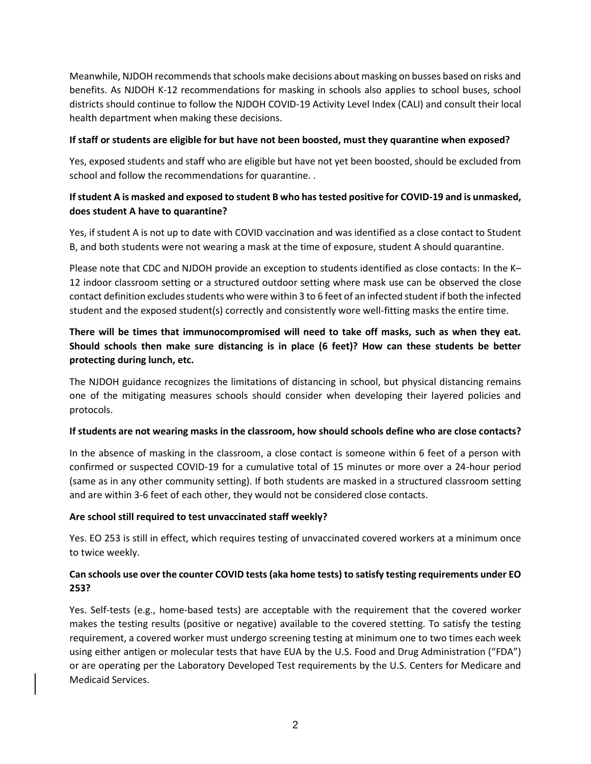Meanwhile, NJDOH recommends that schools make decisions about masking on busses based on risks and benefits. As NJDOH K-12 recommendations for masking in schools also applies to school buses, school districts should continue to follow the NJDOH COVID-19 Activity Level Index (CALI) and consult their local health department when making these decisions.

#### **If staff or students are eligible for but have not been boosted, must they quarantine when exposed?**

Yes, exposed students and staff who are eligible but have not yet been boosted, should be excluded from school and follow the recommendations for quarantine. .

# **If student A is masked and exposed to student B who has tested positive for COVID-19 and is unmasked, does student A have to quarantine?**

Yes, if student A is not up to date with COVID vaccination and was identified as a close contact to Student B, and both students were not wearing a mask at the time of exposure, student A should quarantine.

Please note that CDC and NJDOH provide an exception to students identified as close contacts: In the K– 12 indoor classroom setting or a structured outdoor setting where mask use can be observed the close contact definition excludes students who were within 3 to 6 feet of an infected student if both the infected student and the exposed student(s) correctly and consistently wore well-fitting masks the entire time.

# **There will be times that immunocompromised will need to take off masks, such as when they eat. Should schools then make sure distancing is in place (6 feet)? How can these students be better protecting during lunch, etc.**

The NJDOH guidance recognizes the limitations of distancing in school, but physical distancing remains one of the mitigating measures schools should consider when developing their layered policies and protocols.

### **If students are not wearing masks in the classroom, how should schools define who are close contacts?**

In the absence of masking in the classroom, a close contact is someone within 6 feet of a person with confirmed or suspected COVID-19 for a cumulative total of 15 minutes or more over a 24-hour period (same as in any other community setting). If both students are masked in a structured classroom setting and are within 3-6 feet of each other, they would not be considered close contacts.

### **Are school still required to test unvaccinated staff weekly?**

Yes. EO 253 is still in effect, which requires testing of unvaccinated covered workers at a minimum once to twice weekly.

## **Can schools use over the counter COVID tests (aka home tests) to satisfy testing requirements under EO 253?**

Yes. Self-tests (e.g., home-based tests) are acceptable with the requirement that the covered worker makes the testing results (positive or negative) available to the covered stetting. To satisfy the testing requirement, a covered worker must undergo screening testing at minimum one to two times each week using either antigen or molecular tests that have EUA by the U.S. Food and Drug Administration ("FDA") or are operating per the Laboratory Developed Test requirements by the U.S. Centers for Medicare and Medicaid Services.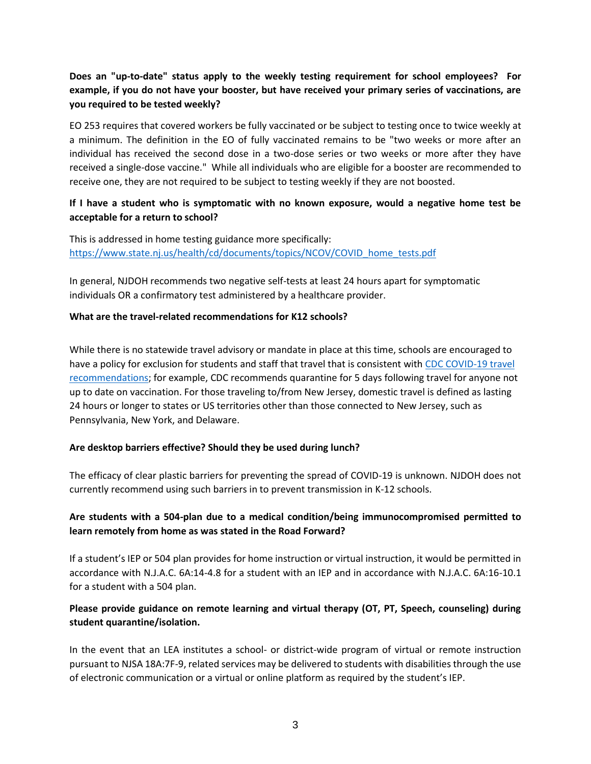# **Does an "up-to-date" status apply to the weekly testing requirement for school employees? For example, if you do not have your booster, but have received your primary series of vaccinations, are you required to be tested weekly?**

EO 253 requires that covered workers be fully vaccinated or be subject to testing once to twice weekly at a minimum. The definition in the EO of fully vaccinated remains to be "two weeks or more after an individual has received the second dose in a two-dose series or two weeks or more after they have received a single-dose vaccine." While all individuals who are eligible for a booster are recommended to receive one, they are not required to be subject to testing weekly if they are not boosted.

### **If I have a student who is symptomatic with no known exposure, would a negative home test be acceptable for a return to school?**

This is addressed in home testing guidance more specifically: [https://www.state.nj.us/health/cd/documents/topics/NCOV/COVID\\_home\\_tests.pdf](https://www.state.nj.us/health/cd/documents/topics/NCOV/COVID_home_tests.pdf)

In general, NJDOH recommends two negative self-tests at least 24 hours apart for symptomatic individuals OR a confirmatory test administered by a healthcare provider.

#### **What are the travel-related recommendations for K12 schools?**

While there is no statewide travel advisory or mandate in place at this time, schools are encouraged to have a policy for exclusion for students and staff that travel that is consistent wit[h CDC COVID-19 travel](https://www.cdc.gov/coronavirus/2019-ncov/travelers/travel-during-covid19.html)  [recommendations;](https://www.cdc.gov/coronavirus/2019-ncov/travelers/travel-during-covid19.html) for example, CDC recommends quarantine for 5 days following travel for anyone not up to date on vaccination. For those traveling to/from New Jersey, domestic travel is defined as lasting 24 hours or longer to states or US territories other than those connected to New Jersey, such as Pennsylvania, New York, and Delaware.

### **Are desktop barriers effective? Should they be used during lunch?**

The efficacy of clear plastic barriers for preventing the spread of COVID-19 is unknown. NJDOH does not currently recommend using such barriers in to prevent transmission in K-12 schools.

## **Are students with a 504-plan due to a medical condition/being immunocompromised permitted to learn remotely from home as was stated in the Road Forward?**

If a student's IEP or 504 plan provides for home instruction or virtual instruction, it would be permitted in accordance with N.J.A.C. 6A:14-4.8 for a student with an IEP and in accordance with N.J.A.C. 6A:16-10.1 for a student with a 504 plan.

## **Please provide guidance on remote learning and virtual therapy (OT, PT, Speech, counseling) during student quarantine/isolation.**

In the event that an LEA institutes a school- or district-wide program of virtual or remote instruction pursuant to NJSA 18A:7F-9, related services may be delivered to students with disabilities through the use of electronic communication or a virtual or online platform as required by the student's IEP.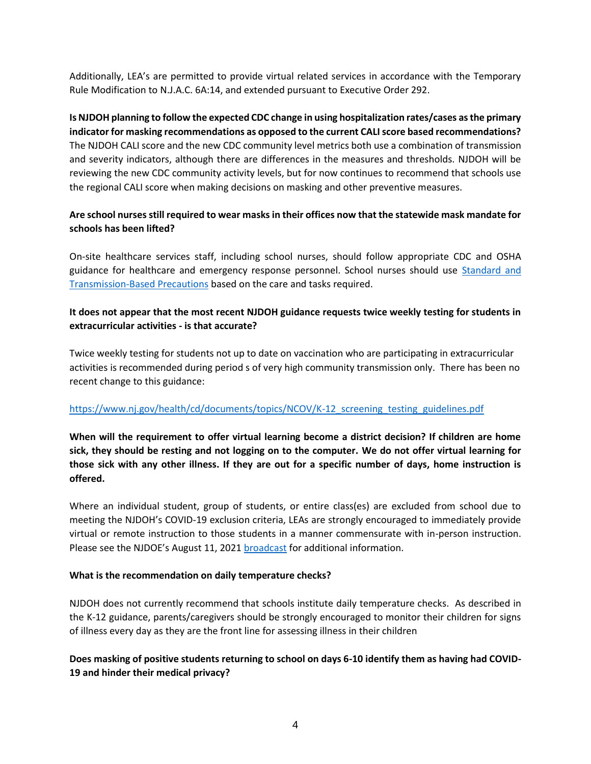Additionally, LEA's are permitted to provide virtual related services in accordance with the Temporary Rule Modification to N.J.A.C. 6A:14, and extended pursuant to Executive Order 292.

**Is NJDOH planning to follow the expected CDC change in using hospitalization rates/cases as the primary indicator for masking recommendations as opposed to the current CALI score based recommendations?** The NJDOH CALI score and the new CDC community level metrics both use a combination of transmission and severity indicators, although there are differences in the measures and thresholds. NJDOH will be reviewing the new CDC community activity levels, but for now continues to recommend that schools use the regional CALI score when making decisions on masking and other preventive measures.

### **Are school nurses still required to wear masks in their offices now that the statewide mask mandate for schools has been lifted?**

On-site healthcare services staff, including school nurses, should follow appropriate CDC and OSHA guidance for healthcare and emergency response personnel. School nurses should use [Standard and](https://www.cdc.gov/coronavirus/2019-ncov/hcp/infection-control-recommendations.html?CDC_AA_refVal=https%3A%2F%2Fwww.cdc.gov%2Fcoronavirus%2F2019-ncov%2Finfection-control%2Fcontrol-recommendations.html)  [Transmission-Based Precautions](https://www.cdc.gov/coronavirus/2019-ncov/hcp/infection-control-recommendations.html?CDC_AA_refVal=https%3A%2F%2Fwww.cdc.gov%2Fcoronavirus%2F2019-ncov%2Finfection-control%2Fcontrol-recommendations.html) based on the care and tasks required.

### **It does not appear that the most recent NJDOH guidance requests twice weekly testing for students in extracurricular activities - is that accurate?**

Twice weekly testing for students not up to date on vaccination who are participating in extracurricular activities is recommended during period s of very high community transmission only. There has been no recent change to this guidance:

### [https://www.nj.gov/health/cd/documents/topics/NCOV/K-12\\_screening\\_testing\\_guidelines.pdf](https://www.nj.gov/health/cd/documents/topics/NCOV/K-12_screening_testing_guidelines.pdf)

**When will the requirement to offer virtual learning become a district decision? If children are home sick, they should be resting and not logging on to the computer. We do not offer virtual learning for those sick with any other illness. If they are out for a specific number of days, home instruction is offered.**

Where an individual student, group of students, or entire class(es) are excluded from school due to meeting the NJDOH's COVID-19 exclusion criteria, LEAs are strongly encouraged to immediately provide virtual or remote instruction to those students in a manner commensurate with in-person instruction. Please see the NJDOE's August 11, 2021 [broadcast](https://www.nj.gov/education/broadcasts/2021/aug/11/Educating%20Students%20During%20Quarantine_.pdf) for additional information.

#### **What is the recommendation on daily temperature checks?**

NJDOH does not currently recommend that schools institute daily temperature checks. As described in the K-12 guidance, parents/caregivers should be strongly encouraged to monitor their children for signs of illness every day as they are the front line for assessing illness in their children

## **Does masking of positive students returning to school on days 6-10 identify them as having had COVID-19 and hinder their medical privacy?**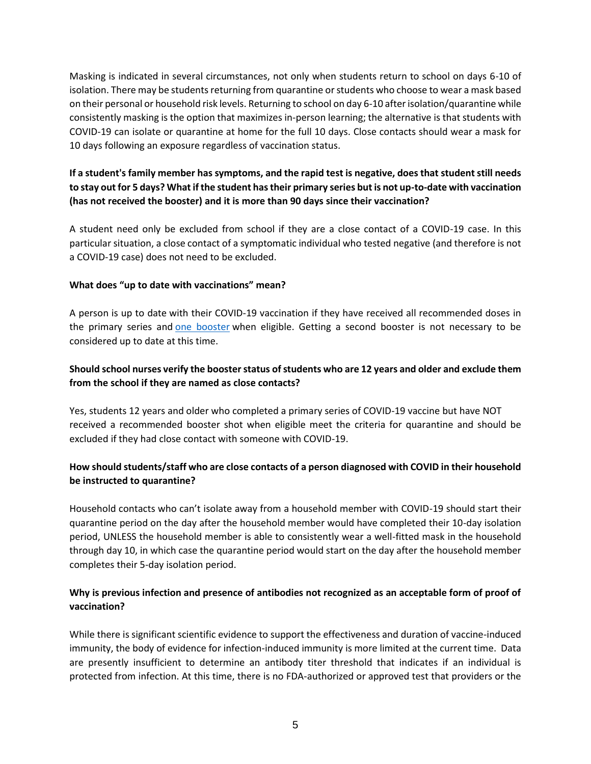Masking is indicated in several circumstances, not only when students return to school on days 6-10 of isolation. There may be students returning from quarantine or students who choose to wear a mask based on their personal or household risk levels. Returning to school on day 6-10 after isolation/quarantine while consistently masking is the option that maximizes in-person learning; the alternative is that students with COVID-19 can isolate or quarantine at home for the full 10 days. Close contacts should wear a mask for 10 days following an exposure regardless of vaccination status.

# **If a student's family member has symptoms, and the rapid test is negative, does that student still needs to stay out for 5 days? What if the student has their primary series but is not up-to-date with vaccination (has not received the booster) and it is more than 90 days since their vaccination?**

A student need only be excluded from school if they are a close contact of a COVID-19 case. In this particular situation, a close contact of a symptomatic individual who tested negative (and therefore is not a COVID-19 case) does not need to be excluded.

#### **What does "up to date with vaccinations" mean?**

A person is up to date with their COVID-19 vaccination if they have received all recommended doses in the primary series and [one booster](https://www.cdc.gov/coronavirus/2019-ncov/vaccines/booster-shot.html) when eligible. Getting a second booster is not necessary to be considered up to date at this time.

## **Should school nurses verify the booster status of students who are 12 years and older and exclude them from the school if they are named as close contacts?**

Yes, students 12 years and older who completed a primary series of COVID-19 vaccine but have NOT received a recommended booster shot when eligible meet the criteria for quarantine and should be excluded if they had close contact with someone with COVID-19.

## **How should students/staff who are close contacts of a person diagnosed with COVID in their household be instructed to quarantine?**

Household contacts who can't isolate away from a household member with COVID-19 should start their quarantine period on the day after the household member would have completed their 10-day isolation period, UNLESS the household member is able to consistently wear a well-fitted mask in the household through day 10, in which case the quarantine period would start on the day after the household member completes their 5-day isolation period.

## **Why is previous infection and presence of antibodies not recognized as an acceptable form of proof of vaccination?**

While there is significant scientific evidence to support the effectiveness and duration of vaccine-induced immunity, the body of evidence for infection-induced immunity is more limited at the current time. Data are presently insufficient to determine an antibody titer threshold that indicates if an individual is protected from infection. At this time, there is no FDA-authorized or approved test that providers or the